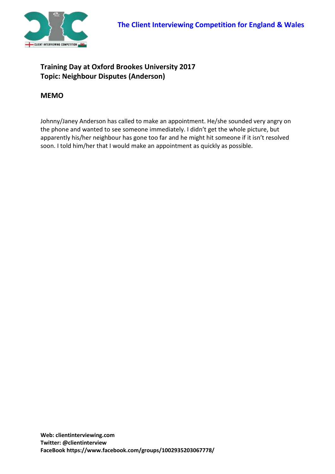

## **Training Day at Oxford Brookes University 2017 Topic: Neighbour Disputes (Anderson)**

## **MEMO**

Johnny/Janey Anderson has called to make an appointment. He/she sounded very angry on the phone and wanted to see someone immediately. I didn't get the whole picture, but apparently his/her neighbour has gone too far and he might hit someone if it isn't resolved soon. I told him/her that I would make an appointment as quickly as possible.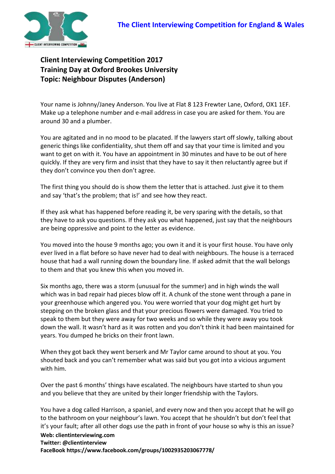

**Client Interviewing Competition 2017 Training Day at Oxford Brookes University Topic: Neighbour Disputes (Anderson)**

Your name is Johnny/Janey Anderson. You live at Flat 8 123 Frewter Lane, Oxford, OX1 1EF. Make up a telephone number and e-mail address in case you are asked for them. You are around 30 and a plumber.

You are agitated and in no mood to be placated. If the lawyers start off slowly, talking about generic things like confidentiality, shut them off and say that your time is limited and you want to get on with it. You have an appointment in 30 minutes and have to be out of here quickly. If they are very firm and insist that they have to say it then reluctantly agree but if they don't convince you then don't agree.

The first thing you should do is show them the letter that is attached. Just give it to them and say 'that's the problem; that is!' and see how they react.

If they ask what has happened before reading it, be very sparing with the details, so that they have to ask you questions. If they ask you what happened, just say that the neighbours are being oppressive and point to the letter as evidence.

You moved into the house 9 months ago; you own it and it is your first house. You have only ever lived in a flat before so have never had to deal with neighbours. The house is a terraced house that had a wall running down the boundary line. If asked admit that the wall belongs to them and that you knew this when you moved in.

Six months ago, there was a storm (unusual for the summer) and in high winds the wall which was in bad repair had pieces blow off it. A chunk of the stone went through a pane in your greenhouse which angered you. You were worried that your dog might get hurt by stepping on the broken glass and that your precious flowers were damaged. You tried to speak to them but they were away for two weeks and so while they were away you took down the wall. It wasn't hard as it was rotten and you don't think it had been maintained for years. You dumped he bricks on their front lawn.

When they got back they went berserk and Mr Taylor came around to shout at you. You shouted back and you can't remember what was said but you got into a vicious argument with him.

Over the past 6 months' things have escalated. The neighbours have started to shun you and you believe that they are united by their longer friendship with the Taylors.

**Web: clientinterviewing.com Twitter: @clientinterview**  You have a dog called Harrison, a spaniel, and every now and then you accept that he will go to the bathroom on your neighbour's lawn. You accept that he shouldn't but don't feel that it's your fault; after all other dogs use the path in front of your house so why is this an issue?

**FaceBook https://www.facebook.com/groups/1002935203067778/**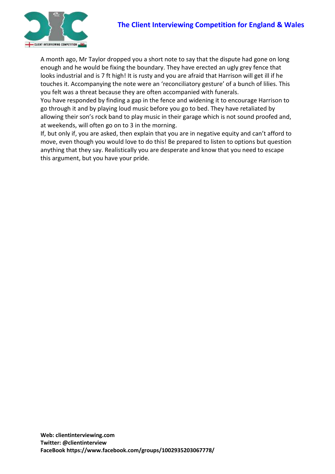



A month ago, Mr Taylor dropped you a short note to say that the dispute had gone on long enough and he would be fixing the boundary. They have erected an ugly grey fence that looks industrial and is 7 ft high! It is rusty and you are afraid that Harrison will get ill if he touches it. Accompanying the note were an 'reconciliatory gesture' of a bunch of lilies. This you felt was a threat because they are often accompanied with funerals.

You have responded by finding a gap in the fence and widening it to encourage Harrison to go through it and by playing loud music before you go to bed. They have retaliated by allowing their son's rock band to play music in their garage which is not sound proofed and, at weekends, will often go on to 3 in the morning.

If, but only if, you are asked, then explain that you are in negative equity and can't afford to move, even though you would love to do this! Be prepared to listen to options but question anything that they say. Realistically you are desperate and know that you need to escape this argument, but you have your pride.